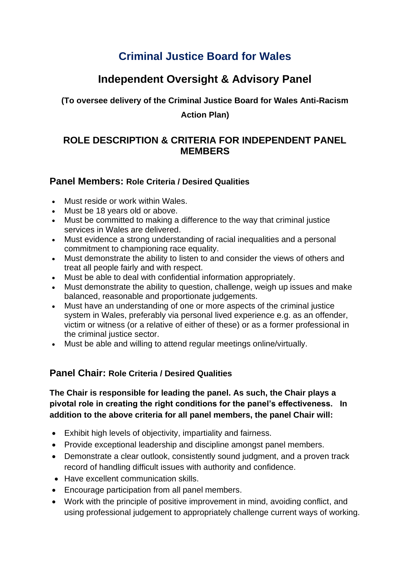# **Criminal Justice Board for Wales**

## **Independent Oversight & Advisory Panel**

**(To oversee delivery of the Criminal Justice Board for Wales Anti-Racism** 

#### **Action Plan)**

## **ROLE DESCRIPTION & CRITERIA FOR INDEPENDENT PANEL MEMBERS**

### **Panel Members: Role Criteria / Desired Qualities**

- Must reside or work within Wales.
- Must be 18 years old or above.
- Must be committed to making a difference to the way that criminal justice services in Wales are delivered.
- Must evidence a strong understanding of racial inequalities and a personal commitment to championing race equality.
- Must demonstrate the ability to listen to and consider the views of others and treat all people fairly and with respect.
- Must be able to deal with confidential information appropriately.
- Must demonstrate the ability to question, challenge, weigh up issues and make balanced, reasonable and proportionate judgements.
- Must have an understanding of one or more aspects of the criminal justice system in Wales, preferably via personal lived experience e.g. as an offender, victim or witness (or a relative of either of these) or as a former professional in the criminal justice sector.
- Must be able and willing to attend regular meetings online/virtually.

### **Panel Chair: Role Criteria / Desired Qualities**

#### **The Chair is responsible for leading the panel. As such, the Chair plays a pivotal role in creating the right conditions for the panel's effectiveness. In addition to the above criteria for all panel members, the panel Chair will:**

- Exhibit high levels of objectivity, impartiality and fairness.
- Provide exceptional leadership and discipline amongst panel members.
- Demonstrate a clear outlook, consistently sound judgment, and a proven track record of handling difficult issues with authority and confidence.
- Have excellent communication skills.
- Encourage participation from all panel members.
- Work with the principle of positive improvement in mind, avoiding conflict, and using professional judgement to appropriately challenge current ways of working.